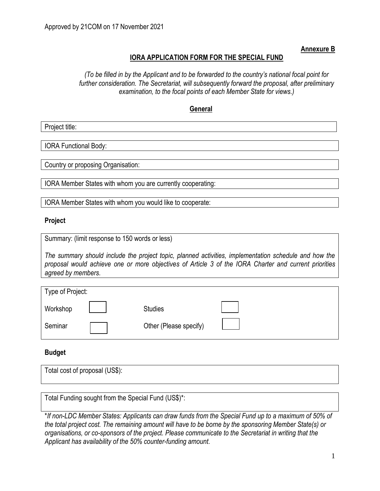**Annexure B**

## **IORA APPLICATION FORM FOR THE SPECIAL FUND**

*(To be filled in by the Applicant and to be forwarded to the country's national focal point for further consideration. The Secretariat, will subsequently forward the proposal, after preliminary examination, to the focal points of each Member State for views.)*

#### **General**

Project title:

IORA Functional Body:

Country or proposing Organisation:

IORA Member States with whom you are currently cooperating:

IORA Member States with whom you would like to cooperate:

#### **Project**

| Summary: (limit response to 150 words or less) |  |  |  |  |  |  |  |
|------------------------------------------------|--|--|--|--|--|--|--|
|------------------------------------------------|--|--|--|--|--|--|--|

*The summary should include the project topic, planned activities, implementation schedule and how the proposal would achieve one or more objectives of Article 3 of the IORA Charter and current priorities agreed by members.*

| Type of Project: |                        |  |
|------------------|------------------------|--|
| Workshop         | <b>Studies</b>         |  |
| Seminar          | Other (Please specify) |  |

#### **Budget**

| Total cost of proposal (US\$): |  |  |
|--------------------------------|--|--|
|                                |  |  |
|                                |  |  |
|                                |  |  |

Total Funding sought from the Special Fund (US\$)\*:

\**If non-LDC Member States: Applicants can draw funds from the Special Fund up to a maximum of 50% of the total project cost. The remaining amount will have to be borne by the sponsoring Member State(s) or organisations, or co-sponsors of the project. Please communicate to the Secretariat in writing that the Applicant has availability of the 50% counter-funding amount.*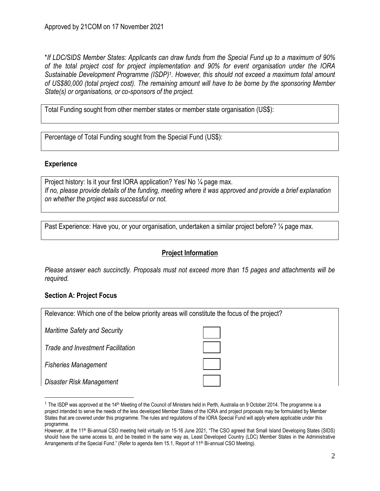\**If LDC/SIDS Member States: Applicants can draw funds from the Special Fund up to a maximum of 90% of the total project cost for project implementation and 90% for event organisation under the IORA Sustainable Development Programme (ISDP)<sup>1</sup> . However, this should not exceed a maximum total amount of US\$80,000 (total project cost). The remaining amount will have to be borne by the sponsoring Member State(s) or organisations, or co-sponsors of the project.* 

Total Funding sought from other member states or member state organisation (US\$):

Percentage of Total Funding sought from the Special Fund (US\$):

## **Experience**

Project history: Is it your first IORA application? Yes/ No 1/4 page max. *If no, please provide details of the funding, meeting where it was approved and provide a brief explanation on whether the project was successful or not.*

Past Experience: Have you, or your organisation, undertaken a similar project before? 1/4 page max.

# **Project Information**

*Please answer each succinctly. Proposals must not exceed more than 15 pages and attachments will be required.*

# **Section A: Project Focus**

| Relevance: Which one of the below priority areas will constitute the focus of the project? |  |  |  |  |
|--------------------------------------------------------------------------------------------|--|--|--|--|
| <b>Maritime Safety and Security</b>                                                        |  |  |  |  |
| Trade and Investment Facilitation                                                          |  |  |  |  |
| <b>Fisheries Management</b>                                                                |  |  |  |  |
| Disaster Risk Management                                                                   |  |  |  |  |

<sup>&</sup>lt;sup>1</sup> The ISDP was approved at the 14<sup>th</sup> Meeting of the Council of Ministers held in Perth, Australia on 9 October 2014. The programme is a project intended to serve the needs of the less developed Member States of the IORA and project proposals may be formulated by Member States that are covered under this programme. The rules and regulations of the IORA Special Fund will apply where applicable under this programme.

However, at the 11<sup>th</sup> Bi-annual CSO meeting held virtually on 15-16 June 2021, "The CSO agreed that Small Island Developing States (SIDS) should have the same access to, and be treated in the same way as, Least Developed Country (LDC) Member States in the Administrative Arrangements of the Special Fund." (Refer to agenda Item 15.1, Report of 11<sup>th</sup> Bi-annual CSO Meeting).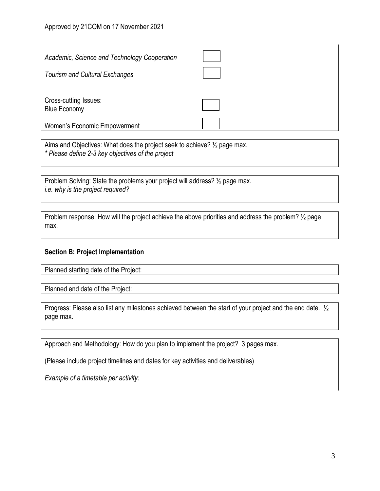| Academic, Science and Technology Cooperation<br><b>Tourism and Cultural Exchanges</b> |  |
|---------------------------------------------------------------------------------------|--|
| Cross-cutting Issues:<br><b>Blue Economy</b><br>Women's Economic Empowerment          |  |

Aims and Objectives: What does the project seek to achieve? ½ page max. *\* Please define 2-3 key objectives of the project*

Problem Solving: State the problems your project will address? ½ page max. *i.e. why is the project required?*

Problem response: How will the project achieve the above priorities and address the problem?  $\frac{1}{2}$  page max.

#### **Section B: Project Implementation**

Planned starting date of the Project:

Planned end date of the Project:

Progress: Please also list any milestones achieved between the start of your project and the end date. ½ page max.

Approach and Methodology: How do you plan to implement the project? 3 pages max.

(Please include project timelines and dates for key activities and deliverables)

*Example of a timetable per activity:*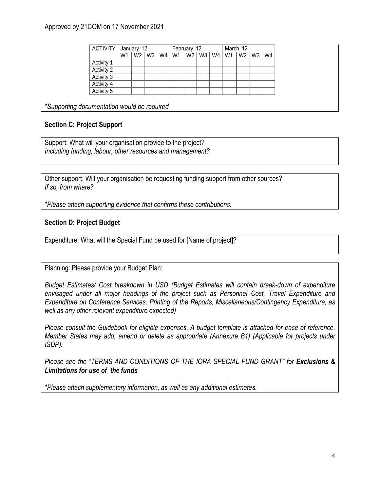## Approved by 21COM on 17 November 2021

| <b>ACTIVITY</b> |                | January '12 |                |    | February '12   |    |    | March '12 |    |    |    |    |
|-----------------|----------------|-------------|----------------|----|----------------|----|----|-----------|----|----|----|----|
|                 | W <sub>1</sub> | W2          | W <sub>3</sub> | W4 | W <sub>1</sub> | W2 | W3 | W4        | W1 | W2 | W3 | W4 |
| Activity 1      |                |             |                |    |                |    |    |           |    |    |    |    |
| Activity 2      |                |             |                |    |                |    |    |           |    |    |    |    |
| Activity 3      |                |             |                |    |                |    |    |           |    |    |    |    |
| Activity 4      |                |             |                |    |                |    |    |           |    |    |    |    |
| Activity 5      |                |             |                |    |                |    |    |           |    |    |    |    |

*\*Supporting documentation would be required*

# **Section C: Project Support**

Support: What will your organisation provide to the project? *Including funding, labour, other resources and management?*

Other support: Will your organisation be requesting funding support from other sources? *If so, from where?*

*\*Please attach supporting evidence that confirms these contributions.*

## **Section D: Project Budget**

Expenditure: What will the Special Fund be used for [Name of project]?

Planning: Please provide your Budget Plan:

*Budget Estimates/ Cost breakdown in USD (Budget Estimates will contain break-down of expenditure envisaged under all major headings of the project such as Personnel Cost, Travel Expenditure and Expenditure on Conference Services, Printing of the Reports, Miscellaneous/Contingency Expenditure, as well as any other relevant expenditure expected)*

*Please consult the Guidebook for eligible expenses. A budget template is attached for ease of reference. Member States may add, amend or delete as appropriate (Annexure B1) (Applicable for projects under ISDP).*

*Please see the "TERMS AND CONDITIONS OF THE IORA SPECIAL FUND GRANT" for Exclusions & Limitations for use of the funds*

*\*Please attach supplementary information, as well as any additional estimates.*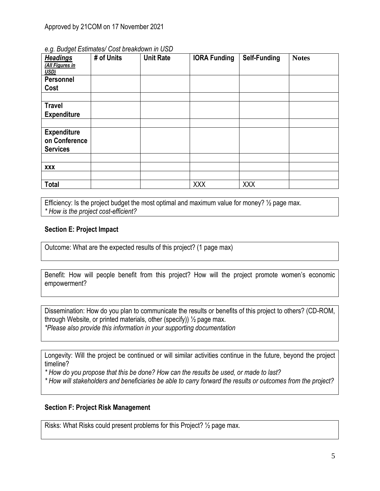| <b>Headings</b><br>(All Figures in<br>USD)             | # of Units | <b>Unit Rate</b> | <b>IORA Funding</b> | Self-Funding | <b>Notes</b> |
|--------------------------------------------------------|------------|------------------|---------------------|--------------|--------------|
| <b>Personnel</b>                                       |            |                  |                     |              |              |
| Cost                                                   |            |                  |                     |              |              |
|                                                        |            |                  |                     |              |              |
| <b>Travel</b>                                          |            |                  |                     |              |              |
| <b>Expenditure</b>                                     |            |                  |                     |              |              |
|                                                        |            |                  |                     |              |              |
| <b>Expenditure</b><br>on Conference<br><b>Services</b> |            |                  |                     |              |              |
|                                                        |            |                  |                     |              |              |
| <b>XXX</b>                                             |            |                  |                     |              |              |
|                                                        |            |                  |                     |              |              |
| <b>Total</b>                                           |            |                  | XXX                 | <b>XXX</b>   |              |

#### *e.g. Budget Estimates/ Cost breakdown in USD*

Efficiency: Is the project budget the most optimal and maximum value for money? 1/2 page max. *\* How is the project cost-efficient?*

## **Section E: Project Impact**

Outcome: What are the expected results of this project? (1 page max)

Benefit: How will people benefit from this project? How will the project promote women's economic empowerment?

Dissemination: How do you plan to communicate the results or benefits of this project to others? (CD-ROM, through Website, or printed materials, other (specify))  $\frac{1}{2}$  page max. *\*Please also provide this information in your supporting documentation*

Longevity: Will the project be continued or will similar activities continue in the future, beyond the project timeline?

*\* How do you propose that this be done? How can the results be used, or made to last?*

*\* How will stakeholders and beneficiaries be able to carry forward the results or outcomes from the project?*

### **Section F: Project Risk Management**

Risks: What Risks could present problems for this Project? ½ page max.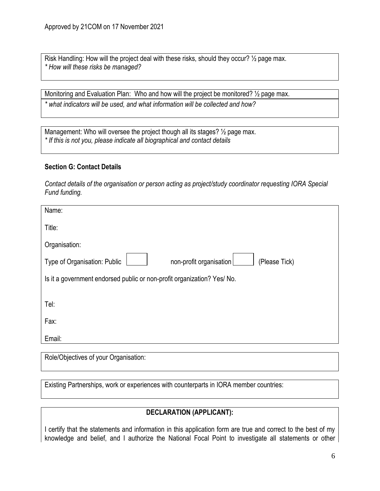Risk Handling: How will the project deal with these risks, should they occur? ½ page max. *\* How will these risks be managed?*

Monitoring and Evaluation Plan: Who and how will the project be monitored? 1/2 page max.

*\* what indicators will be used, and what information will be collected and how?*

Management: Who will oversee the project though all its stages?  $\frac{1}{2}$  page max. *\* If this is not you, please indicate all biographical and contact details*

## **Section G: Contact Details**

*Contact details of the organisation or person acting as project/study coordinator requesting IORA Special Fund funding.*

| Name:                                                                    |
|--------------------------------------------------------------------------|
| Title:                                                                   |
| Organisation:                                                            |
| Type of Organisation: Public<br>non-profit organisation<br>(Please Tick) |
| Is it a government endorsed public or non-profit organization? Yes/ No.  |
|                                                                          |
| Tel:                                                                     |
| Fax:                                                                     |
| Email:                                                                   |
|                                                                          |

Role/Objectives of your Organisation:

Existing Partnerships, work or experiences with counterparts in IORA member countries:

# **DECLARATION (APPLICANT):**

I certify that the statements and information in this application form are true and correct to the best of my knowledge and belief, and I authorize the National Focal Point to investigate all statements or other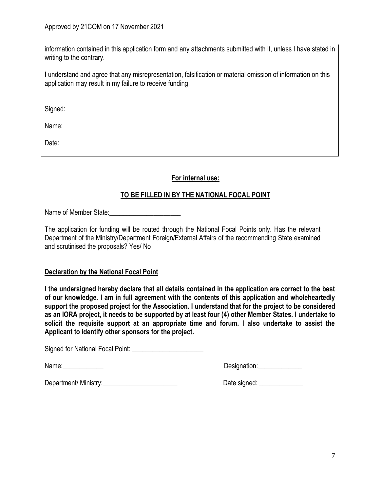information contained in this application form and any attachments submitted with it, unless I have stated in writing to the contrary.

I understand and agree that any misrepresentation, falsification or material omission of information on this application may result in my failure to receive funding.

Signed:

Name:

Date:

**For internal use:**

# **TO BE FILLED IN BY THE NATIONAL FOCAL POINT**

Name of Member State:

The application for funding will be routed through the National Focal Points only. Has the relevant Department of the Ministry/Department Foreign/External Affairs of the recommending State examined and scrutinised the proposals? Yes/ No

#### **Declaration by the National Focal Point**

**I the undersigned hereby declare that all details contained in the application are correct to the best of our knowledge. I am in full agreement with the contents of this application and wholeheartedly support the proposed project for the Association. I understand that for the project to be considered as an IORA project, it needs to be supported by at least four (4) other Member States. I undertake to solicit the requisite support at an appropriate time and forum. I also undertake to assist the Applicant to identify other sponsors for the project.** 

Signed for National Focal Point: \_\_\_\_\_\_\_\_\_\_\_\_\_\_\_\_\_\_\_\_\_

Name: example and the set of the set of the set of the Designation:

Department/ Ministry: example of the signed: contract the Date signed:  $\Box$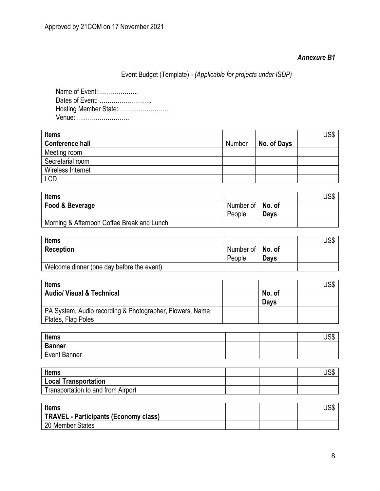# *Annexure B1*

Event Budget (Template) - *(Applicable for projects under ISDP)*

Name of Event:……………….. Dates of Event: …………………….. Hosting Member State: …………………… Venue: ……………………..

| <b>Items</b>           |        |             | JS\$ |
|------------------------|--------|-------------|------|
| <b>Conference hall</b> | Number | No. of Days |      |
| Meeting room           |        |             |      |
| Secretarial room       |        |             |      |
| Wireless Internet      |        |             |      |
| <b>LCD</b>             |        |             |      |

| <b>Items</b>                               |                    |      | JS\$ |
|--------------------------------------------|--------------------|------|------|
| Food & Beverage                            | Number of   No. of |      |      |
|                                            | People             | Days |      |
| Morning & Afternoon Coffee Break and Lunch |                    |      |      |

| <b>Items</b>                              |                    |      | US\$ |
|-------------------------------------------|--------------------|------|------|
| <b>Reception</b>                          | Number of   No. of |      |      |
|                                           | People             | Days |      |
| Welcome dinner (one day before the event) |                    |      |      |

| <b>Items</b>                                             |             | JS\$ |
|----------------------------------------------------------|-------------|------|
| <b>Audio/ Visual &amp; Technical</b>                     | No. of      |      |
|                                                          | <b>Days</b> |      |
| PA System, Audio recording & Photographer, Flowers, Name |             |      |
| Plates, Flag Poles                                       |             |      |

| <b>Items</b>        |  | 10 <sub>W</sub><br>ႱჂႴ |
|---------------------|--|------------------------|
| <b>Banner</b>       |  |                        |
| <b>Event Banner</b> |  |                        |

| <b>Items</b>                       |  | JSD |
|------------------------------------|--|-----|
| Local Transportation               |  |     |
| Transportation to and from Airport |  |     |

| <b>Items</b>                                 |  | ሀჂႦ |
|----------------------------------------------|--|-----|
| <b>TRAVEL - Participants (Economy class)</b> |  |     |
| 20 Member States                             |  |     |